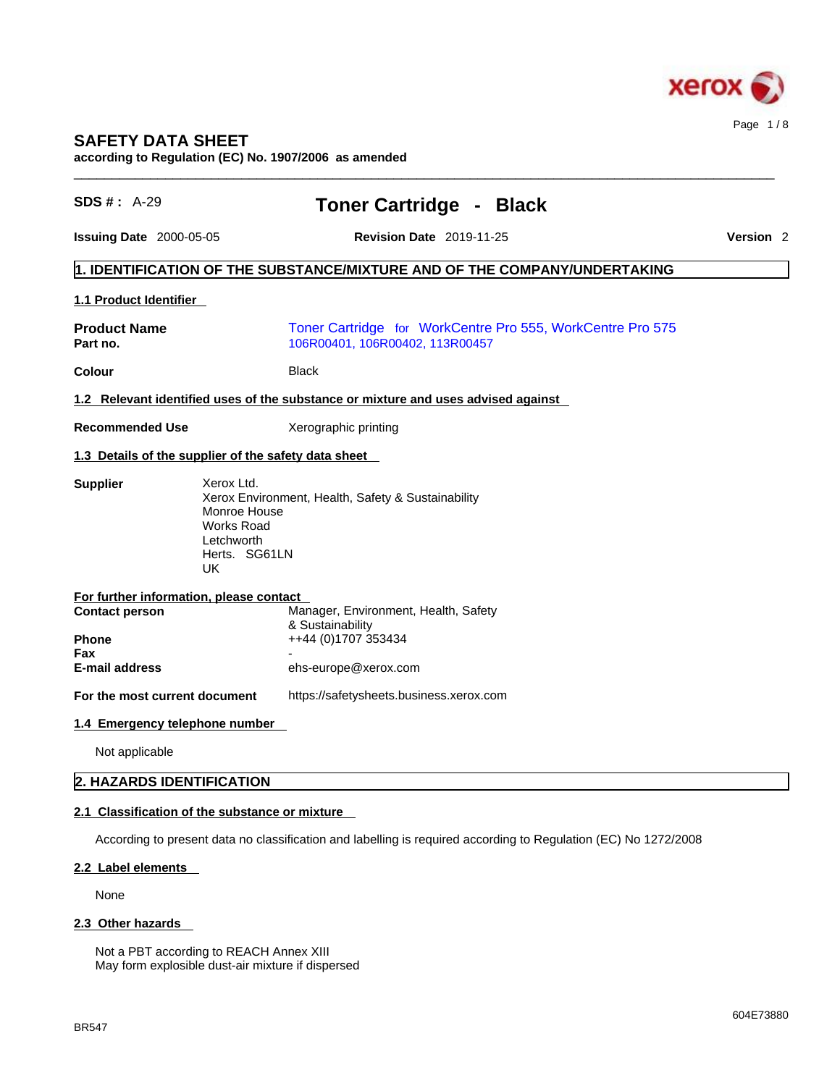

### **SAFETY DATA SHEET**

**according to Regulation (EC) No. 1907/2006 as amended** 

| <b>SDS #: A-29</b>                                                                      | <b>Toner Cartridge - Black</b>                                                                                  |                      |
|-----------------------------------------------------------------------------------------|-----------------------------------------------------------------------------------------------------------------|----------------------|
| <b>Issuing Date 2000-05-05</b>                                                          | <b>Revision Date 2019-11-25</b>                                                                                 | Version <sub>2</sub> |
|                                                                                         | 1. IDENTIFICATION OF THE SUBSTANCE/MIXTURE AND OF THE COMPANY/UNDERTAKING                                       |                      |
| <b>1.1 Product Identifier</b>                                                           |                                                                                                                 |                      |
| <b>Product Name</b><br>Part no.                                                         | Toner Cartridge for WorkCentre Pro 555, WorkCentre Pro 575<br>106R00401, 106R00402, 113R00457                   |                      |
| <b>Colour</b>                                                                           | <b>Black</b>                                                                                                    |                      |
|                                                                                         | 1.2 Relevant identified uses of the substance or mixture and uses advised against                               |                      |
| <b>Recommended Use</b>                                                                  | Xerographic printing                                                                                            |                      |
| 1.3 Details of the supplier of the safety data sheet                                    |                                                                                                                 |                      |
| <b>Works Road</b><br>Letchworth<br><b>UK</b><br>For further information, please contact | Xerox Environment, Health, Safety & Sustainability<br>Monroe House<br>Herts. SG61LN                             |                      |
| <b>Contact person</b><br><b>Phone</b>                                                   | Manager, Environment, Health, Safety<br>& Sustainability<br>++44 (0)1707 353434                                 |                      |
| Fax<br>E-mail address                                                                   | ehs-europe@xerox.com                                                                                            |                      |
| For the most current document                                                           | https://safetysheets.business.xerox.com                                                                         |                      |
| 1.4 Emergency telephone number                                                          |                                                                                                                 |                      |
| Not applicable                                                                          |                                                                                                                 |                      |
| 2. HAZARDS IDENTIFICATION                                                               |                                                                                                                 |                      |
| 2.1 Classification of the substance or mixture                                          |                                                                                                                 |                      |
|                                                                                         | According to present data no classification and labelling is required according to Regulation (EC) No 1272/2008 |                      |
| 2.2 Label elements                                                                      |                                                                                                                 |                      |
| None                                                                                    |                                                                                                                 |                      |
|                                                                                         |                                                                                                                 |                      |

Not a PBT according to REACH Annex XIII May form explosible dust-air mixture if dispersed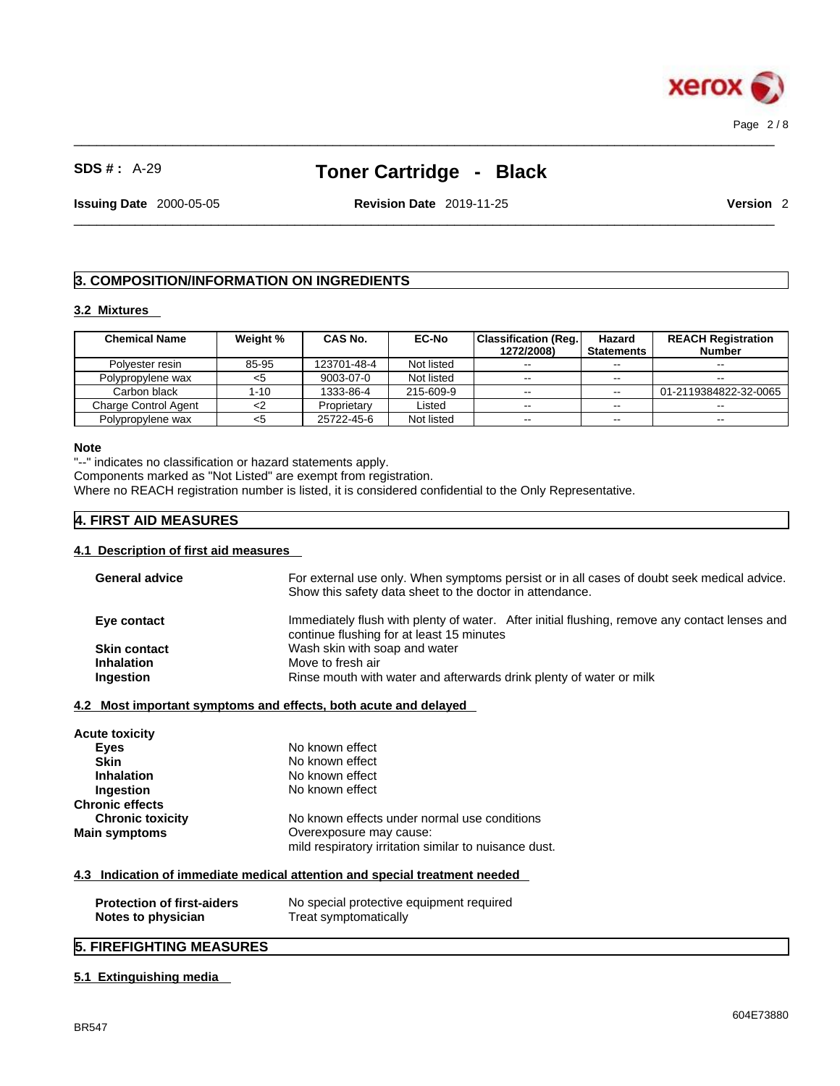

 $\_$  ,  $\_$  ,  $\_$  ,  $\_$  ,  $\_$  ,  $\_$  ,  $\_$  ,  $\_$  ,  $\_$  ,  $\_$  ,  $\_$  ,  $\_$  ,  $\_$  ,  $\_$  ,  $\_$  ,  $\_$  ,  $\_$  ,  $\_$  ,  $\_$  ,  $\_$  ,  $\_$  ,  $\_$  ,  $\_$  ,  $\_$  ,  $\_$  ,  $\_$  ,  $\_$  ,  $\_$  ,  $\_$  ,  $\_$  ,  $\_$  ,  $\_$  ,  $\_$  ,  $\_$  ,  $\_$  ,  $\_$  ,  $\_$  ,

**Issuing Date** 2000-05-05 **Revision Date** 2019-11-25 **Version** 2

 $\_$  ,  $\_$  ,  $\_$  ,  $\_$  ,  $\_$  ,  $\_$  ,  $\_$  ,  $\_$  ,  $\_$  ,  $\_$  ,  $\_$  ,  $\_$  ,  $\_$  ,  $\_$  ,  $\_$  ,  $\_$  ,  $\_$  ,  $\_$  ,  $\_$  ,  $\_$  ,  $\_$  ,  $\_$  ,  $\_$  ,  $\_$  ,  $\_$  ,  $\_$  ,  $\_$  ,  $\_$  ,  $\_$  ,  $\_$  ,  $\_$  ,  $\_$  ,  $\_$  ,  $\_$  ,  $\_$  ,  $\_$  ,  $\_$  ,

### **3. COMPOSITION/INFORMATION ON INGREDIENTS**

#### **3.2 Mixtures**

| <b>Chemical Name</b>        | Weight % | <b>CAS No.</b> | <b>EC-No</b> | Classification (Reg.) | Hazard            | <b>REACH Registration</b> |
|-----------------------------|----------|----------------|--------------|-----------------------|-------------------|---------------------------|
|                             |          |                |              | 1272/2008)            | <b>Statements</b> | <b>Number</b>             |
| Polvester resin             | 85-95    | 123701-48-4    | Not listed   | $- -$                 | $- -$             | $- -$                     |
| Polypropylene wax           | כ>       | 9003-07-0      | Not listed   | $\sim$ $\sim$         | $- -$             |                           |
| Carbon black                | 1-10     | 1333-86-4      | 215-609-9    | $\sim$ $\sim$         | $\sim$ $\sim$     | 01-2119384822-32-0065     |
| <b>Charge Control Agent</b> | <2       | Proprietary    | Listed       | $\sim$ $\sim$         | $- -$             |                           |
| Polypropylene wax           | <5       | 25722-45-6     | Not listed   | $- -$                 | $- -$             | $\sim$                    |

#### **Note**

"--" indicates no classification or hazard statements apply.

Components marked as "Not Listed" are exempt from registration.

Where no REACH registration number is listed, it is considered confidential to the Only Representative.

### **4. FIRST AID MEASURES**

#### **4.1 Description of first aid measures**

| <b>Acute toxicity</b><br><b>Eyes</b><br><b>Skin</b>     | No known effect<br>No known effect                                                                                               |
|---------------------------------------------------------|----------------------------------------------------------------------------------------------------------------------------------|
| <b>Inhalation</b>                                       | No known effect                                                                                                                  |
| Ingestion<br>Chronic effects                            | No known effect                                                                                                                  |
| <b>Chronic toxicity</b><br><b>Main symptoms</b>         | No known effects under normal use conditions<br>Overexposure may cause:<br>mild respiratory irritation similar to nuisance dust. |
|                                                         | 4.3 Indication of immediate medical attention and special treatment needed                                                       |
| <b>Protection of first-aiders</b><br>Notes to physician | No special protective equipment required<br>Treat symptomatically                                                                |

### **5.1 Extinguishing media**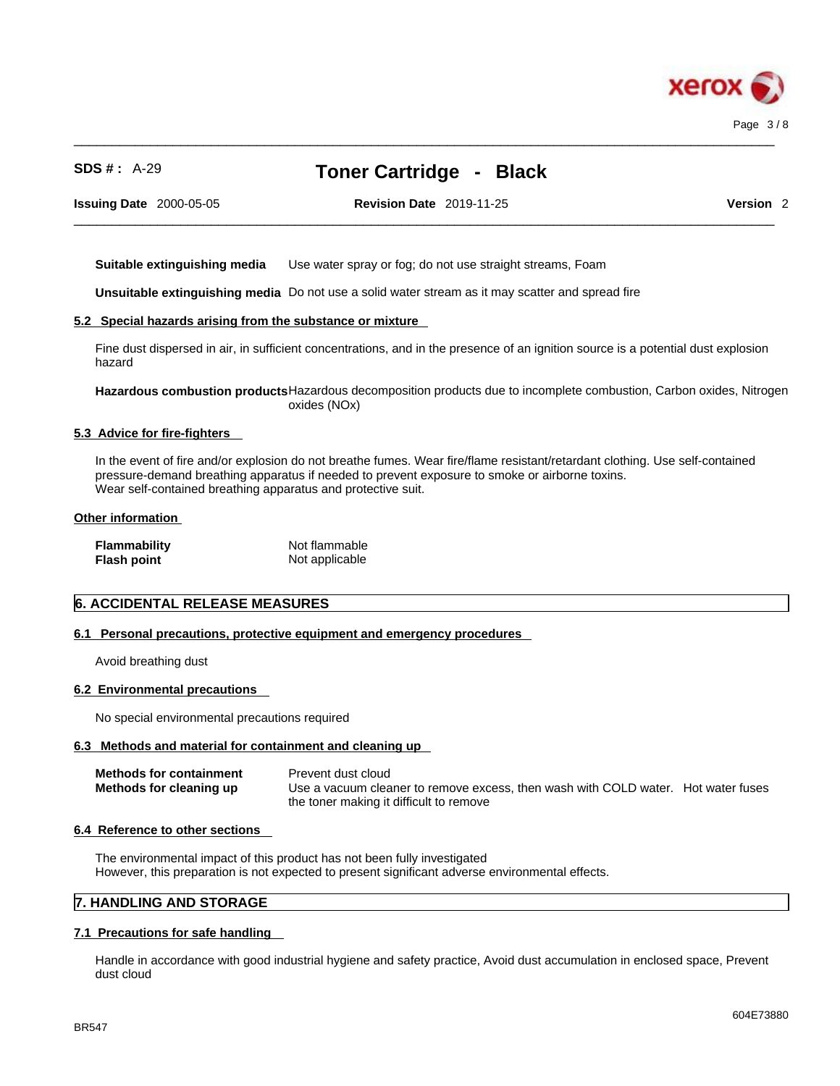

 $\_$  ,  $\_$  ,  $\_$  ,  $\_$  ,  $\_$  ,  $\_$  ,  $\_$  ,  $\_$  ,  $\_$  ,  $\_$  ,  $\_$  ,  $\_$  ,  $\_$  ,  $\_$  ,  $\_$  ,  $\_$  ,  $\_$  ,  $\_$  ,  $\_$  ,  $\_$  ,  $\_$  ,  $\_$  ,  $\_$  ,  $\_$  ,  $\_$  ,  $\_$  ,  $\_$  ,  $\_$  ,  $\_$  ,  $\_$  ,  $\_$  ,  $\_$  ,  $\_$  ,  $\_$  ,  $\_$  ,  $\_$  ,  $\_$  ,

 $\_$  ,  $\_$  ,  $\_$  ,  $\_$  ,  $\_$  ,  $\_$  ,  $\_$  ,  $\_$  ,  $\_$  ,  $\_$  ,  $\_$  ,  $\_$  ,  $\_$  ,  $\_$  ,  $\_$  ,  $\_$  ,  $\_$  ,  $\_$  ,  $\_$  ,  $\_$  ,  $\_$  ,  $\_$  ,  $\_$  ,  $\_$  ,  $\_$  ,  $\_$  ,  $\_$  ,  $\_$  ,  $\_$  ,  $\_$  ,  $\_$  ,  $\_$  ,  $\_$  ,  $\_$  ,  $\_$  ,  $\_$  ,  $\_$  ,

**Issuing Date** 2000-05-05 **Revision Date** 2019-11-25 **Version** 2

**Suitable extinguishing media** Use water spray or fog; do not use straight streams, Foam

**Unsuitable extinguishing media** Do not use a solid water stream as it may scatterand spread fire

#### **5.2 Special hazards arising from the substance or mixture**

Fine dust dispersed in air, in sufficient concentrations, and in the presence of an ignition source is a potential dust explosion hazard

**Hazardous combustion products**Hazardous decomposition products due to incomplete combustion, Carbon oxides, Nitrogen oxides (NOx)

#### **5.3 Advice for fire-fighters**

In the event of fire and/or explosion do not breathe fumes. Wear fire/flame resistant/retardant clothing. Use self-contained pressure-demand breathing apparatus if needed to prevent exposure to smoke or airborne toxins. Wear self-contained breathing apparatus and protective suit.

#### **Other information**

| <b>Flammability</b> | Not flammable  |
|---------------------|----------------|
| <b>Flash point</b>  | Not applicable |

### **6. ACCIDENTAL RELEASE MEASURES**

#### **6.1 Personal precautions, protective equipment and emergency procedures**

Avoid breathing dust

#### **6.2 Environmental precautions**

No special environmental precautions required

#### **6.3 Methods and material for containment and cleaning up**

| <b>Methods for containment</b><br>Methods for cleaning up | Prevent dust cloud<br>Use a vacuum cleaner to remove excess, then wash with COLD water. Hot water fuses |  |
|-----------------------------------------------------------|---------------------------------------------------------------------------------------------------------|--|
|                                                           | the toner making it difficult to remove                                                                 |  |

#### **6.4 Reference to other sections**

The environmental impact of this product has not been fully investigated However, this preparation is not expected to present significant adverse environmental effects.

#### **7. HANDLING AND STORAGE**

#### **7.1 Precautions for safe handling**

Handle in accordance with good industrial hygiene and safety practice, Avoid dust accumulation in enclosed space, Prevent dust cloud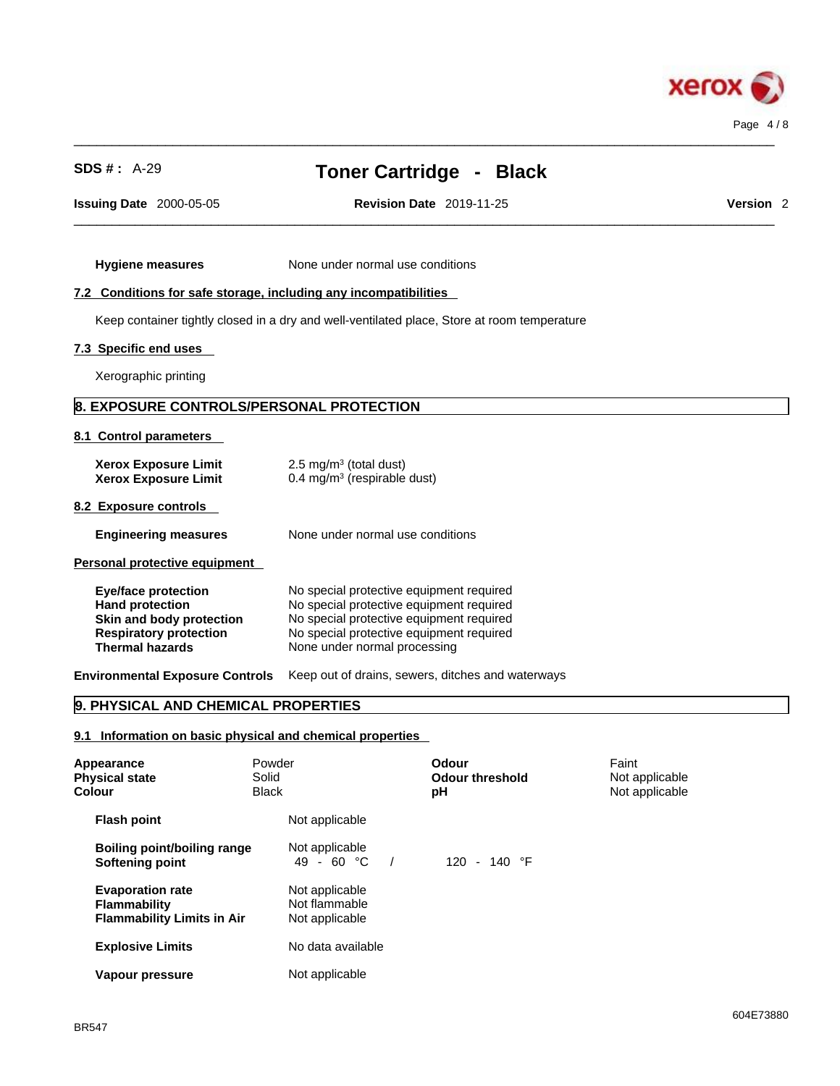

 $\_$  ,  $\_$  ,  $\_$  ,  $\_$  ,  $\_$  ,  $\_$  ,  $\_$  ,  $\_$  ,  $\_$  ,  $\_$  ,  $\_$  ,  $\_$  ,  $\_$  ,  $\_$  ,  $\_$  ,  $\_$  ,  $\_$  ,  $\_$  ,  $\_$  ,  $\_$  ,  $\_$  ,  $\_$  ,  $\_$  ,  $\_$  ,  $\_$  ,  $\_$  ,  $\_$  ,  $\_$  ,  $\_$  ,  $\_$  ,  $\_$  ,  $\_$  ,  $\_$  ,  $\_$  ,  $\_$  ,  $\_$  ,  $\_$  ,

**Issuing Date** 2000-05-05 **Revision Date** 2019-11-25 **Version** 2

 $\_$  ,  $\_$  ,  $\_$  ,  $\_$  ,  $\_$  ,  $\_$  ,  $\_$  ,  $\_$  ,  $\_$  ,  $\_$  ,  $\_$  ,  $\_$  ,  $\_$  ,  $\_$  ,  $\_$  ,  $\_$  ,  $\_$  ,  $\_$  ,  $\_$  ,  $\_$  ,  $\_$  ,  $\_$  ,  $\_$  ,  $\_$  ,  $\_$  ,  $\_$  ,  $\_$  ,  $\_$  ,  $\_$  ,  $\_$  ,  $\_$  ,  $\_$  ,  $\_$  ,  $\_$  ,  $\_$  ,  $\_$  ,  $\_$  ,

**Hygiene measures** None under normal use conditions

### **7.2 Conditions for safe storage, including any incompatibilities**

Keep container tightly closed in a dry and well-ventilated place, Store at room temperature

#### **7.3 Specific end uses**

Xerographic printing

### **8. EXPOSURE CONTROLS/PERSONAL PROTECTION**

#### **8.1 Control parameters**

| <b>Xerox Exposure Limit</b><br><b>Xerox Exposure Limit</b>                                                                                  | $2.5 \text{ mg/m}^3$ (total dust)<br>0.4 mg/m $3$ (respirable dust)                                                                                                                                          |
|---------------------------------------------------------------------------------------------------------------------------------------------|--------------------------------------------------------------------------------------------------------------------------------------------------------------------------------------------------------------|
| 8.2 Exposure controls                                                                                                                       |                                                                                                                                                                                                              |
| <b>Engineering measures</b>                                                                                                                 | None under normal use conditions                                                                                                                                                                             |
| Personal protective equipment                                                                                                               |                                                                                                                                                                                                              |
| <b>Eye/face protection</b><br><b>Hand protection</b><br>Skin and body protection<br><b>Respiratory protection</b><br><b>Thermal hazards</b> | No special protective equipment required<br>No special protective equipment required<br>No special protective equipment required<br>No special protective equipment required<br>None under normal processing |

**Environmental Exposure Controls** Keep out of drains, sewers, ditches and waterways

### **9. PHYSICAL AND CHEMICAL PROPERTIES**

#### **9.1 Information on basic physical and chemical properties**

| Colour | Appearance<br><b>Physical state</b>                                                 | Powder<br>Solid<br><b>Black</b> |                                                   | Odour<br><b>Odour threshold</b><br>рH | Faint<br>Not applicable<br>Not applicable |  |
|--------|-------------------------------------------------------------------------------------|---------------------------------|---------------------------------------------------|---------------------------------------|-------------------------------------------|--|
|        | <b>Flash point</b>                                                                  |                                 | Not applicable                                    |                                       |                                           |  |
|        | Boiling point/boiling range<br>Softening point                                      |                                 | Not applicable<br>49 - 60 $^{\circ}$ C            | 120 - 140 $\degree$ F                 |                                           |  |
|        | <b>Evaporation rate</b><br><b>Flammability</b><br><b>Flammability Limits in Air</b> |                                 | Not applicable<br>Not flammable<br>Not applicable |                                       |                                           |  |
|        | <b>Explosive Limits</b>                                                             |                                 | No data available                                 |                                       |                                           |  |
|        | Vapour pressure                                                                     |                                 | Not applicable                                    |                                       |                                           |  |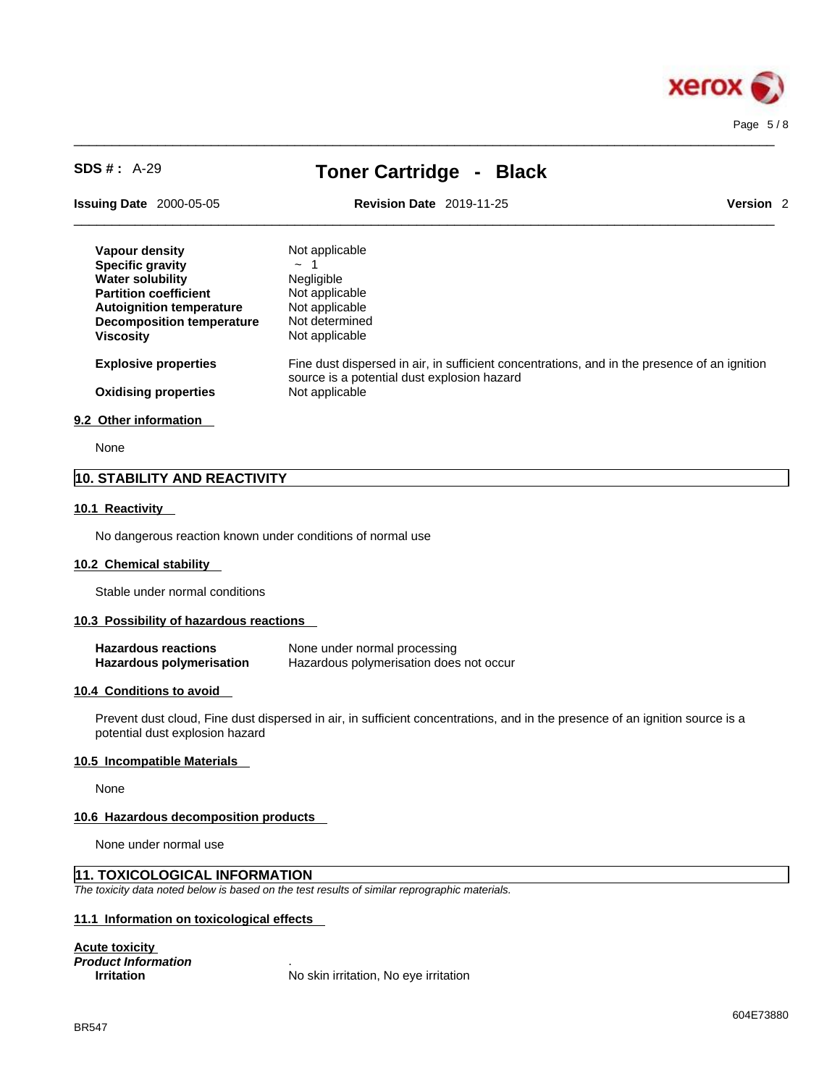

 $\_$  ,  $\_$  ,  $\_$  ,  $\_$  ,  $\_$  ,  $\_$  ,  $\_$  ,  $\_$  ,  $\_$  ,  $\_$  ,  $\_$  ,  $\_$  ,  $\_$  ,  $\_$  ,  $\_$  ,  $\_$  ,  $\_$  ,  $\_$  ,  $\_$  ,  $\_$  ,  $\_$  ,  $\_$  ,  $\_$  ,  $\_$  ,  $\_$  ,  $\_$  ,  $\_$  ,  $\_$  ,  $\_$  ,  $\_$  ,  $\_$  ,  $\_$  ,  $\_$  ,  $\_$  ,  $\_$  ,  $\_$  ,  $\_$  ,

**Issuing Date** 2000-05-05 **Revision Date** 2019-11-25 **Version** 2

 $\_$  ,  $\_$  ,  $\_$  ,  $\_$  ,  $\_$  ,  $\_$  ,  $\_$  ,  $\_$  ,  $\_$  ,  $\_$  ,  $\_$  ,  $\_$  ,  $\_$  ,  $\_$  ,  $\_$  ,  $\_$  ,  $\_$  ,  $\_$  ,  $\_$  ,  $\_$  ,  $\_$  ,  $\_$  ,  $\_$  ,  $\_$  ,  $\_$  ,  $\_$  ,  $\_$  ,  $\_$  ,  $\_$  ,  $\_$  ,  $\_$  ,  $\_$  ,  $\_$  ,  $\_$  ,  $\_$  ,  $\_$  ,  $\_$  ,

| Vapour density                  | Not applicable                                                                                                                              |
|---------------------------------|---------------------------------------------------------------------------------------------------------------------------------------------|
| <b>Specific gravity</b>         | $\sim$                                                                                                                                      |
| <b>Water solubility</b>         | <b>Negligible</b>                                                                                                                           |
| <b>Partition coefficient</b>    | Not applicable                                                                                                                              |
| <b>Autoignition temperature</b> | Not applicable                                                                                                                              |
| Decomposition temperature       | Not determined                                                                                                                              |
| Viscosity                       | Not applicable                                                                                                                              |
| <b>Explosive properties</b>     | Fine dust dispersed in air, in sufficient concentrations, and in the presence of an ignition<br>source is a potential dust explosion hazard |
| <b>Oxidising properties</b>     | Not applicable                                                                                                                              |
| 9.2 Other information           |                                                                                                                                             |

None

### **10. STABILITY AND REACTIVITY**

#### **10.1 Reactivity**

No dangerous reaction known under conditions of normal use

#### **10.2 Chemical stability**

Stable under normal conditions

#### **10.3 Possibility of hazardous reactions**

| <b>Hazardous reactions</b>      | None under normal processing            |
|---------------------------------|-----------------------------------------|
| <b>Hazardous polymerisation</b> | Hazardous polymerisation does not occur |

#### **10.4 Conditions to avoid**

Prevent dust cloud, Fine dust dispersed in air, in sufficient concentrations, and in the presence of an ignition source is a potential dust explosion hazard

#### **10.5 Incompatible Materials**

None

#### **10.6 Hazardous decomposition products**

None under normal use

### **11. TOXICOLOGICAL INFORMATION**

*The toxicity data noted below is based on the test results of similar reprographic materials.* 

#### **11.1 Information on toxicological effects**

**Acute toxicity** *Product Information* .

**No skin irritation, No eye irritation**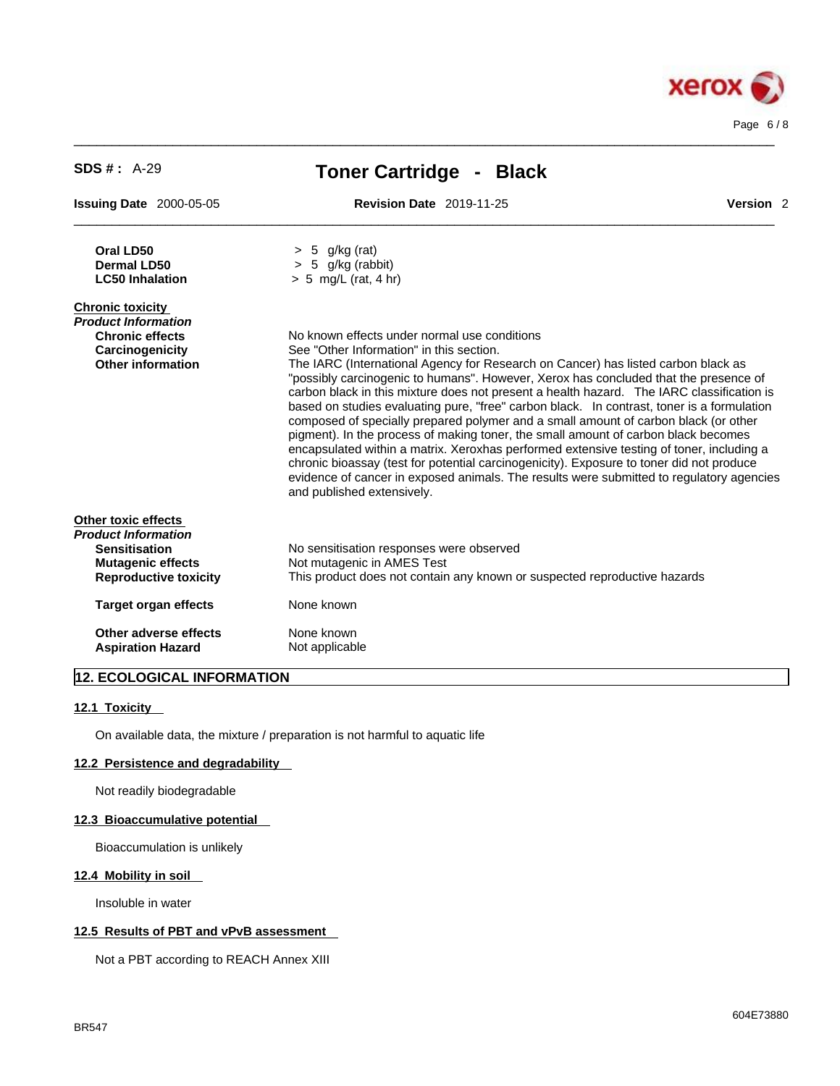

 $\_$  ,  $\_$  ,  $\_$  ,  $\_$  ,  $\_$  ,  $\_$  ,  $\_$  ,  $\_$  ,  $\_$  ,  $\_$  ,  $\_$  ,  $\_$  ,  $\_$  ,  $\_$  ,  $\_$  ,  $\_$  ,  $\_$  ,  $\_$  ,  $\_$  ,  $\_$  ,  $\_$  ,  $\_$  ,  $\_$  ,  $\_$  ,  $\_$  ,  $\_$  ,  $\_$  ,  $\_$  ,  $\_$  ,  $\_$  ,  $\_$  ,  $\_$  ,  $\_$  ,  $\_$  ,  $\_$  ,  $\_$  ,  $\_$  ,

## **12. ECOLOGICAL INFORMATION**

#### **12.1 Toxicity**

On available data, the mixture / preparation is not harmful to aquatic life

#### **12.2 Persistence and degradability**

Not readily biodegradable

#### **12.3 Bioaccumulative potential**

Bioaccumulation is unlikely

#### **12.4 Mobility in soil**

Insoluble in water

#### **12.5 Results of PBT and vPvB assessment**

Not a PBT according to REACH Annex XIII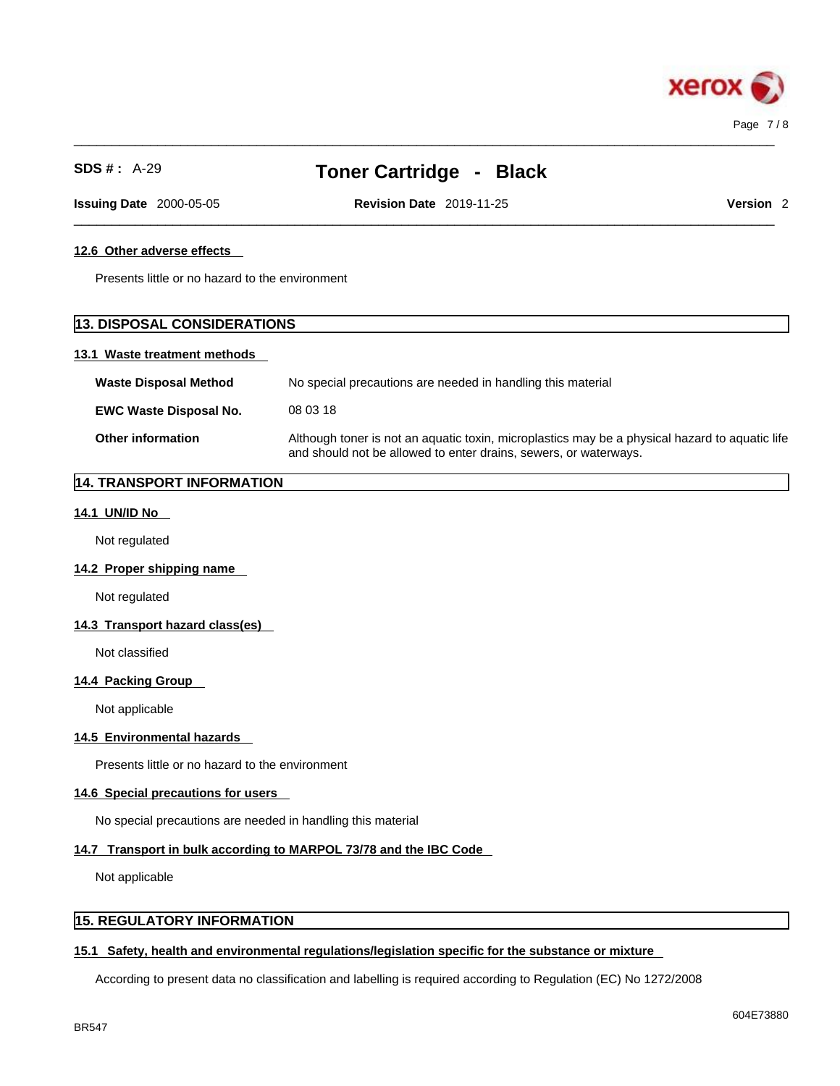

 $\_$  ,  $\_$  ,  $\_$  ,  $\_$  ,  $\_$  ,  $\_$  ,  $\_$  ,  $\_$  ,  $\_$  ,  $\_$  ,  $\_$  ,  $\_$  ,  $\_$  ,  $\_$  ,  $\_$  ,  $\_$  ,  $\_$  ,  $\_$  ,  $\_$  ,  $\_$  ,  $\_$  ,  $\_$  ,  $\_$  ,  $\_$  ,  $\_$  ,  $\_$  ,  $\_$  ,  $\_$  ,  $\_$  ,  $\_$  ,  $\_$  ,  $\_$  ,  $\_$  ,  $\_$  ,  $\_$  ,  $\_$  ,  $\_$  ,

 $\_$  ,  $\_$  ,  $\_$  ,  $\_$  ,  $\_$  ,  $\_$  ,  $\_$  ,  $\_$  ,  $\_$  ,  $\_$  ,  $\_$  ,  $\_$  ,  $\_$  ,  $\_$  ,  $\_$  ,  $\_$  ,  $\_$  ,  $\_$  ,  $\_$  ,  $\_$  ,  $\_$  ,  $\_$  ,  $\_$  ,  $\_$  ,  $\_$  ,  $\_$  ,  $\_$  ,  $\_$  ,  $\_$  ,  $\_$  ,  $\_$  ,  $\_$  ,  $\_$  ,  $\_$  ,  $\_$  ,  $\_$  ,  $\_$  ,

**Issuing Date** 2000-05-05 **Revision Date** 2019-11-25 **Version** 2

### **12.6 Other adverse effects**

Presents little or no hazard to the environment

### **13. DISPOSAL CONSIDERATIONS**

#### **13.1 Waste treatment methods**

| <b>Waste Disposal Method</b>  | No special precautions are needed in handling this material                                                                                                        |
|-------------------------------|--------------------------------------------------------------------------------------------------------------------------------------------------------------------|
| <b>EWC Waste Disposal No.</b> | 08 03 18                                                                                                                                                           |
| <b>Other information</b>      | Although toner is not an aquatic toxin, microplastics may be a physical hazard to aquatic life<br>and should not be allowed to enter drains, sewers, or waterways. |

### **14. TRANSPORT INFORMATION**

#### **14.1 UN/ID No**

Not regulated

**14.2 Proper shipping name** 

Not regulated

#### **14.3 Transport hazard class(es)**

Not classified

#### **14.4 Packing Group**

Not applicable

#### **14.5 Environmental hazards**

Presents little or no hazard to the environment

### **14.6 Special precautions for users**

No special precautions are needed in handling this material

#### **14.7 Transport in bulk according to MARPOL 73/78 and the IBC Code**

Not applicable

### **15. REGULATORY INFORMATION**

#### **15.1 Safety, health and environmental regulations/legislation specific for the substance or mixture**

According to present data no classification and labelling is required according to Regulation (EC) No 1272/2008